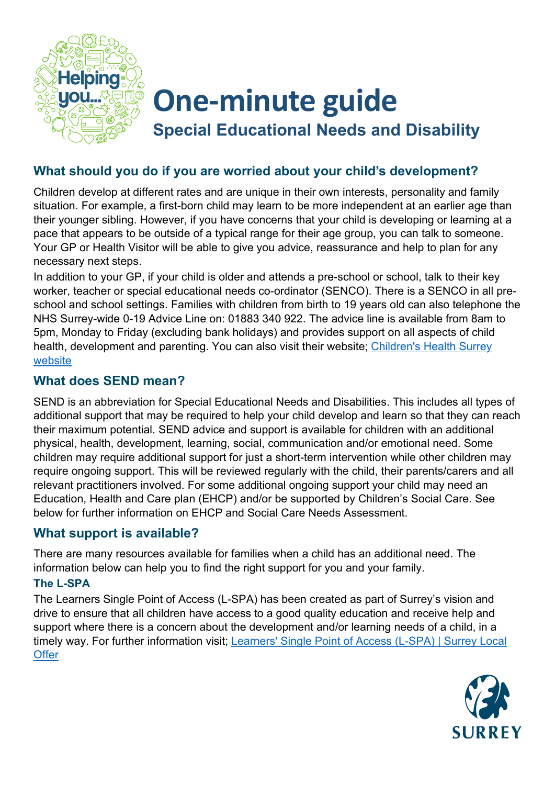

# **One-minute guide**

**Special Educational Needs and Disability**

# **What should you do if you are worried about your child's development?**

Children develop at different rates and are unique in their own interests, personality and family situation. For example, a first-born child may learn to be more independent at an earlier age than their younger sibling. However, if you have concerns that your child is developing or learning at a pace that appears to be outside of a typical range for their age group, you can talk to someone. Your GP or Health Visitor will be able to give you advice, reassurance and help to plan for any necessary next steps.

In addition to your GP, if your child is older and attends a pre-school or school, talk to their key worker, teacher or special educational needs co-ordinator (SENCO). There is a SENCO in all preschool and school settings. Families with children from birth to 19 years old can also telephone the NHS Surrey-wide 0-19 Advice Line on: 01883 340 922. The advice line is available from 8am to 5pm, Monday to Friday (excluding bank holidays) and provides support on all aspects of child health, development and parenting. You can also visit their website; [Children's Health Surrey](https://childrenshealthsurrey.nhs.uk/)  [website](https://childrenshealthsurrey.nhs.uk/)

# **What does SEND mean?**

SEND is an abbreviation for Special Educational Needs and Disabilities. This includes all types of additional support that may be required to help your child develop and learn so that they can reach their maximum potential. SEND advice and support is available for children with an additional physical, health, development, learning, social, communication and/or emotional need. Some children may require additional support for just a short-term intervention while other children may require ongoing support. This will be reviewed regularly with the child, their parents/carers and all relevant practitioners involved. For some additional ongoing support your child may need an Education, Health and Care plan (EHCP) and/or be supported by Children's Social Care. See below for further information on EHCP and Social Care Needs Assessment.

# **What support is available?**

There are many resources available for families when a child has an additional need. The information below can help you to find the right support for you and your family.

### **The L-SPA**

The Learners Single Point of Access (L-SPA) has been created as part of Surrey's vision and drive to ensure that all children have access to a good quality education and receive help and support where there is a concern about the development and/or learning needs of a child, in a timely way. For further information visit; [Learners' Single Point of Access \(L-SPA\) | Surrey Local](https://www.surreylocaloffer.org.uk/kb5/surrey/localoffer/advice.page?id=BeWV_RqJqII)  **[Offer](https://www.surreylocaloffer.org.uk/kb5/surrey/localoffer/advice.page?id=BeWV_RqJqII)** 

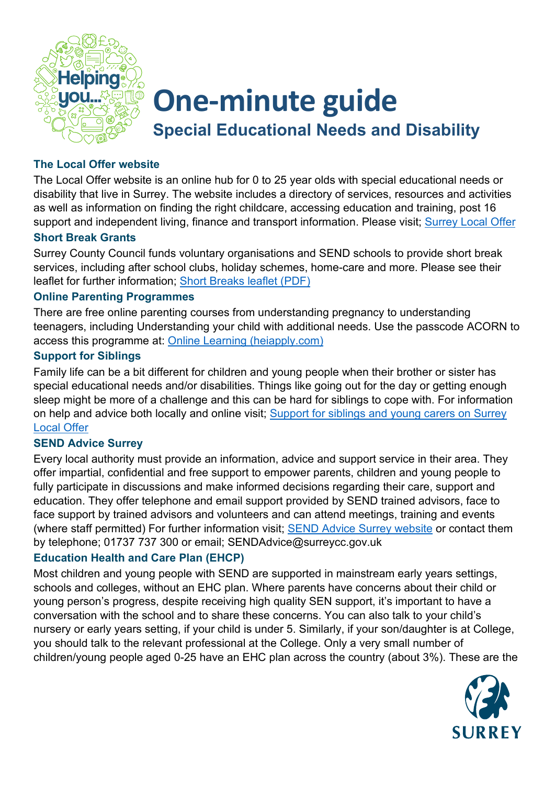

# **One-minute guide Special Educational Needs and Disability**

#### **The Local Offer website**

The Local Offer website is an online hub for 0 to 25 year olds with special educational needs or disability that live in Surrey. The website includes a directory of services, resources and activities as well as information on finding the right childcare, accessing education and training, post 16 support and independent living, finance and transport information. Please visit; [Surrey Local Offer](https://www.surreylocaloffer.org.uk/kb5/surrey/localoffer/home.page)

#### **Short Break Grants**

Surrey County Council funds voluntary organisations and SEND schools to provide short break services, including after school clubs, holiday schemes, home-care and more. Please see their leaflet for further information; [Short Breaks leaflet \(PDF\)](https://www.surreycc.gov.uk/__data/assets/pdf_file/0011/169526/CS3675-Short-Breaks-Leaflet-February-2018.pdf)

#### **Online Parenting Programmes**

There are free online parenting courses from understanding pregnancy to understanding teenagers, including Understanding your child with additional needs. Use the passcode ACORN to access this programme at: [Online Learning \(heiapply.com\)](https://inourplace.heiapply.com/online-learning/)

#### **Support for Siblings**

Family life can be a bit different for children and young people when their brother or sister has special educational needs and/or disabilities. Things like going out for the day or getting enough sleep might be more of a challenge and this can be hard for siblings to cope with. For information on help and advice both locally and online visit; [Support for siblings and young carers on Surrey](https://www.surreylocaloffer.org.uk/kb5/surrey/localoffer/advice.page?id=ZJI1KWqWGFo)  [Local Offer](https://www.surreylocaloffer.org.uk/kb5/surrey/localoffer/advice.page?id=ZJI1KWqWGFo)

#### **SEND Advice Surrey**

Every local authority must provide an information, advice and support service in their area. They offer impartial, confidential and free support to empower parents, children and young people to fully participate in discussions and make informed decisions regarding their care, support and education. They offer telephone and email support provided by SEND trained advisors, face to face support by trained advisors and volunteers and can attend meetings, training and events (where staff permitted) For further information visit; **SEND Advice Surrey website** or contact them by telephone; 01737 737 300 or email; SENDAdvice@surreycc.gov.uk

#### **Education Health and Care Plan (EHCP)**

Most children and young people with SEND are supported in mainstream early years settings, schools and colleges, without an EHC plan. Where parents have concerns about their child or young person's progress, despite receiving high quality SEN support, it's important to have a conversation with the school and to share these concerns. You can also talk to your child's nursery or early years setting, if your child is under 5. Similarly, if your son/daughter is at College, you should talk to the relevant professional at the College. Only a very small number of children/young people aged 0-25 have an EHC plan across the country (about 3%). These are the